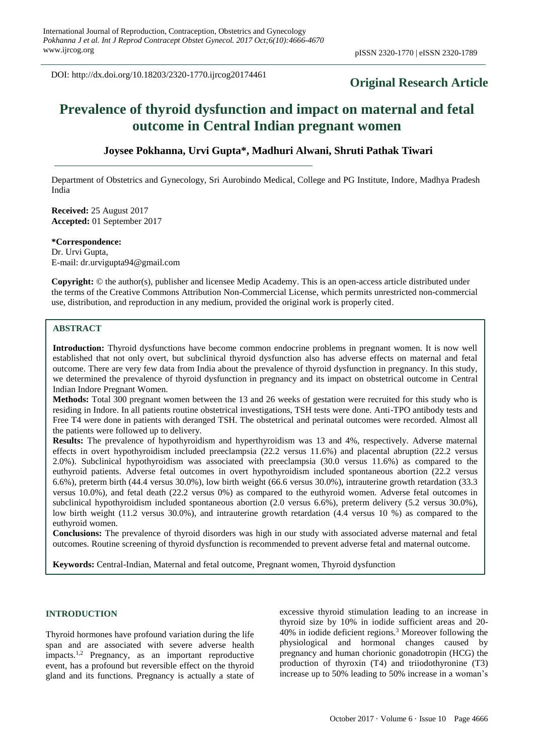DOI: http://dx.doi.org/10.18203/2320-1770.ijrcog20174461

# **Original Research Article**

# **Prevalence of thyroid dysfunction and impact on maternal and fetal outcome in Central Indian pregnant women**

# **Joysee Pokhanna, Urvi Gupta\*, Madhuri Alwani, Shruti Pathak Tiwari**

Department of Obstetrics and Gynecology, Sri Aurobindo Medical, College and PG Institute, Indore, Madhya Pradesh India

**Received:** 25 August 2017 **Accepted:** 01 September 2017

**\*Correspondence:**

Dr. Urvi Gupta, E-mail: dr.urvigupta94@gmail.com

**Copyright:** © the author(s), publisher and licensee Medip Academy. This is an open-access article distributed under the terms of the Creative Commons Attribution Non-Commercial License, which permits unrestricted non-commercial use, distribution, and reproduction in any medium, provided the original work is properly cited.

# **ABSTRACT**

**Introduction:** Thyroid dysfunctions have become common endocrine problems in pregnant women. It is now well established that not only overt, but subclinical thyroid dysfunction also has adverse effects on maternal and fetal outcome. There are very few data from India about the prevalence of thyroid dysfunction in pregnancy. In this study, we determined the prevalence of thyroid dysfunction in pregnancy and its impact on obstetrical outcome in Central Indian Indore Pregnant Women.

**Methods:** Total 300 pregnant women between the 13 and 26 weeks of gestation were recruited for this study who is residing in Indore. In all patients routine obstetrical investigations, TSH tests were done. Anti-TPO antibody tests and Free T4 were done in patients with deranged TSH. The obstetrical and perinatal outcomes were recorded. Almost all the patients were followed up to delivery.

**Results:** The prevalence of hypothyroidism and hyperthyroidism was 13 and 4%, respectively. Adverse maternal effects in overt hypothyroidism included preeclampsia (22.2 versus 11.6%) and placental abruption (22.2 versus 2.0%). Subclinical hypothyroidism was associated with preeclampsia (30.0 versus 11.6%) as compared to the euthyroid patients. Adverse fetal outcomes in overt hypothyroidism included spontaneous abortion (22.2 versus 6.6%), preterm birth (44.4 versus 30.0%), low birth weight (66.6 versus 30.0%), intrauterine growth retardation (33.3 versus 10.0%), and fetal death (22.2 versus 0%) as compared to the euthyroid women. Adverse fetal outcomes in subclinical hypothyroidism included spontaneous abortion (2.0 versus 6.6%), preterm delivery (5.2 versus 30.0%), low birth weight (11.2 versus 30.0%), and intrauterine growth retardation (4.4 versus 10 %) as compared to the euthyroid women.

**Conclusions:** The prevalence of thyroid disorders was high in our study with associated adverse maternal and fetal outcomes. Routine screening of thyroid dysfunction is recommended to prevent adverse fetal and maternal outcome.

**Keywords:** Central-Indian, Maternal and fetal outcome, Pregnant women, Thyroid dysfunction

#### **INTRODUCTION**

Thyroid hormones have profound variation during the life span and are associated with severe adverse health impacts.1,2 Pregnancy, as an important reproductive event, has a profound but reversible effect on the thyroid gland and its functions. Pregnancy is actually a state of excessive thyroid stimulation leading to an increase in thyroid size by 10% in iodide sufficient areas and 20- 40% in iodide deficient regions.<sup>3</sup> Moreover following the physiological and hormonal changes caused by pregnancy and human chorionic gonadotropin (HCG) the production of thyroxin (T4) and triiodothyronine (T3) increase up to 50% leading to 50% increase in a woman's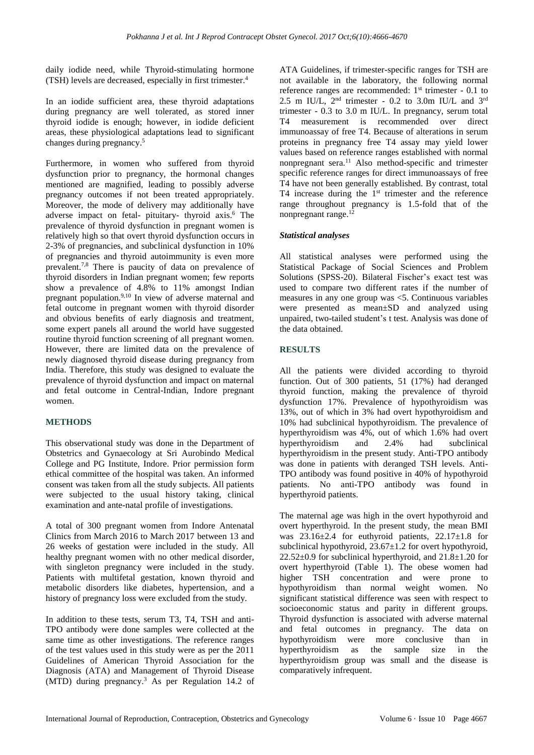daily iodide need, while Thyroid-stimulating hormone (TSH) levels are decreased, especially in first trimester.<sup>4</sup>

In an iodide sufficient area, these thyroid adaptations during pregnancy are well tolerated, as stored inner thyroid iodide is enough; however, in iodide deficient areas, these physiological adaptations lead to significant changes during pregnancy. 5

Furthermore, in women who suffered from thyroid dysfunction prior to pregnancy, the hormonal changes mentioned are magnified, leading to possibly adverse pregnancy outcomes if not been treated appropriately. Moreover, the mode of delivery may additionally have adverse impact on fetal- pituitary- thyroid axis.<sup>6</sup> The prevalence of thyroid dysfunction in pregnant women is relatively high so that overt thyroid dysfunction occurs in 2-3% of pregnancies, and subclinical dysfunction in 10% of pregnancies and thyroid autoimmunity is even more prevalent.7,8 There is paucity of data on prevalence of thyroid disorders in Indian pregnant women; few reports show a prevalence of 4.8% to 11% amongst Indian pregnant population.9,10 In view of adverse maternal and fetal outcome in pregnant women with thyroid disorder and obvious benefits of early diagnosis and treatment, some expert panels all around the world have suggested routine thyroid function screening of all pregnant women. However, there are limited data on the prevalence of newly diagnosed thyroid disease during pregnancy from India. Therefore, this study was designed to evaluate the prevalence of thyroid dysfunction and impact on maternal and fetal outcome in Central-Indian, Indore pregnant women.

# **METHODS**

This observational study was done in the Department of Obstetrics and Gynaecology at Sri Aurobindo Medical College and PG Institute, Indore. Prior permission form ethical committee of the hospital was taken. An informed consent was taken from all the study subjects. All patients were subjected to the usual history taking, clinical examination and ante-natal profile of investigations.

A total of 300 pregnant women from Indore Antenatal Clinics from March 2016 to March 2017 between 13 and 26 weeks of gestation were included in the study. All healthy pregnant women with no other medical disorder, with singleton pregnancy were included in the study. Patients with multifetal gestation, known thyroid and metabolic disorders like diabetes, hypertension, and a history of pregnancy loss were excluded from the study.

In addition to these tests, serum T3, T4, TSH and anti-TPO antibody were done samples were collected at the same time as other investigations. The reference ranges of the test values used in this study were as per the 2011 Guidelines of American Thyroid Association for the Diagnosis (ATA) and Management of Thyroid Disease (MTD) during pregnancy.<sup>3</sup> As per Regulation 14.2 of ATA Guidelines, if trimester-specific ranges for TSH are not available in the laboratory, the following normal reference ranges are recommended: 1<sup>st</sup> trimester - 0.1 to 2.5 m IU/L,  $2<sup>nd</sup>$  trimester - 0.2 to 3.0m IU/L and  $3<sup>rd</sup>$ trimester - 0.3 to 3.0 m IU/L. In pregnancy, serum total T4 measurement is recommended over direct immunoassay of free T4. Because of alterations in serum proteins in pregnancy free T4 assay may yield lower values based on reference ranges established with normal nonpregnant sera.<sup>11</sup> Also method-specific and trimester specific reference ranges for direct immunoassays of free T4 have not been generally established. By contrast, total T4 increase during the  $1<sup>st</sup>$  trimester and the reference range throughout pregnancy is 1.5-fold that of the nonpregnant range.<sup>12</sup>

# *Statistical analyses*

All statistical analyses were performed using the Statistical Package of Social Sciences and Problem Solutions (SPSS-20). Bilateral Fischer's exact test was used to compare two different rates if the number of measures in any one group was <5. Continuous variables were presented as mean±SD and analyzed using unpaired, two-tailed student's t test. Analysis was done of the data obtained.

# **RESULTS**

All the patients were divided according to thyroid function. Out of 300 patients, 51 (17%) had deranged thyroid function, making the prevalence of thyroid dysfunction 17%. Prevalence of hypothyroidism was 13%, out of which in 3% had overt hypothyroidism and 10% had subclinical hypothyroidism. The prevalence of hyperthyroidism was 4%, out of which 1.6% had overt hyperthyroidism and 2.4% had subclinical hyperthyroidism in the present study. Anti-TPO antibody was done in patients with deranged TSH levels. Anti-TPO antibody was found positive in 40% of hypothyroid patients. No anti-TPO antibody was found in hyperthyroid patients.

The maternal age was high in the overt hypothyroid and overt hyperthyroid. In the present study, the mean BMI was  $23.16\pm2.4$  for euthyroid patients,  $22.17\pm1.8$  for subclinical hypothyroid, 23.67±1.2 for overt hypothyroid, 22.52±0.9 for subclinical hyperthyroid, and 21.8±1.20 for overt hyperthyroid (Table 1). The obese women had higher TSH concentration and were prone to hypothyroidism than normal weight women. No significant statistical difference was seen with respect to socioeconomic status and parity in different groups. Thyroid dysfunction is associated with adverse maternal and fetal outcomes in pregnancy. The data on hypothyroidism were more conclusive than in hyperthyroidism as the sample size in the hyperthyroidism group was small and the disease is comparatively infrequent.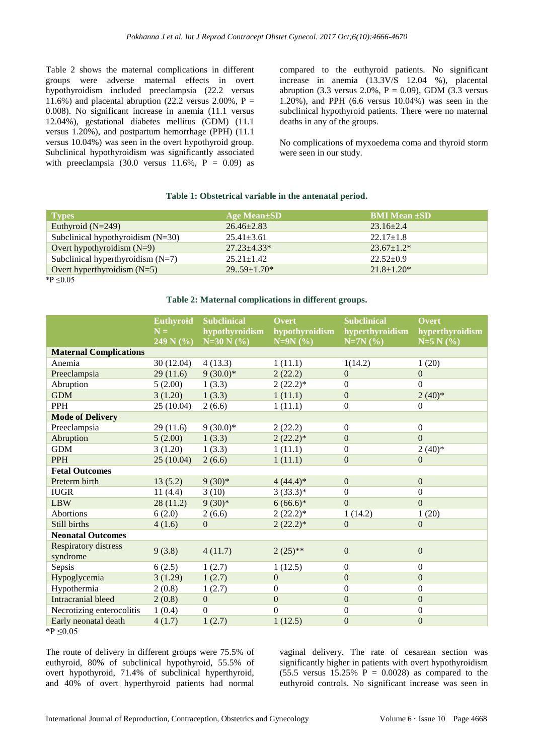Table 2 shows the maternal complications in different groups were adverse maternal effects in overt hypothyroidism included preeclampsia (22.2 versus 11.6%) and placental abruption (22.2 versus 2.00%,  $P =$ 0.008). No significant increase in anemia (11.1 versus 12.04%), gestational diabetes mellitus (GDM) (11.1 versus 1.20%), and postpartum hemorrhage (PPH) (11.1 versus 10.04%) was seen in the overt hypothyroid group. Subclinical hypothyroidism was significantly associated with preeclampsia  $(30.0 \text{ versus } 11.6\%$ ,  $P = 0.09)$  as compared to the euthyroid patients. No significant increase in anemia (13.3V/S 12.04 %), placental abruption (3.3 versus 2.0%,  $P = 0.09$ ), GDM (3.3 versus 1.20%), and PPH (6.6 versus 10.04%) was seen in the subclinical hypothyroid patients. There were no maternal deaths in any of the groups.

No complications of myxoedema coma and thyroid storm were seen in our study.

#### **Table 1: Obstetrical variable in the antenatal period.**

| <b>Types</b>                        | <b>Age Mean</b> ±SD | <b>BMI Mean ±SD</b> |
|-------------------------------------|---------------------|---------------------|
| Euthyroid $(N=249)$                 | $26.46 \pm 2.83$    | $23.16 + 2.4$       |
| Subclinical hypothyroidism $(N=30)$ | $25.41 \pm 3.61$    | $22.17 \pm 1.8$     |
| Overt hypothyroidism $(N=9)$        | $27.23 + 4.33*$     | $23.67 \pm 1.2*$    |
| Subclinical hyperthyroidism $(N=7)$ | $25.21 + 1.42$      | $22.52 \pm 0.9$     |
| Overt hyperthyroidism $(N=5)$       | $29.59 \pm 1.70*$   | $21.8 \pm 1.20*$    |

\*P ≤0.05

# **Table 2: Maternal complications in different groups.**

|                               | <b>Euthyroid</b><br>$N =$<br>249 N $(\% )$ | <b>Subclinical</b><br>hypothyroidism<br>$N=30 N$ (%) | Overt<br>hypothyroidism<br>$N=9N(%)$ | <b>Subclinical</b><br>hyperthyroidism<br>$N=7N(%)$ | Overt<br>hyperthyroidism<br>$N=5 N$ (%) |
|-------------------------------|--------------------------------------------|------------------------------------------------------|--------------------------------------|----------------------------------------------------|-----------------------------------------|
| <b>Maternal Complications</b> |                                            |                                                      |                                      |                                                    |                                         |
| Anemia                        | 30(12.04)                                  | 4(13.3)                                              | 1(11.1)                              | 1(14.2)                                            | 1(20)                                   |
| Preeclampsia                  | 29(11.6)                                   | $9(30.0)*$                                           | 2(22.2)                              | $\mathbf{0}$                                       | $\overline{0}$                          |
| Abruption                     | 5(2.00)                                    | 1(3.3)                                               | $2(22.2)^*$                          | $\Omega$                                           | $\Omega$                                |
| <b>GDM</b>                    | 3(1.20)                                    | 1(3.3)                                               | 1(11.1)                              | $\mathbf{0}$                                       | $2(40)*$                                |
| PPH                           | 25(10.04)                                  | 2(6.6)                                               | 1(11.1)                              | $\boldsymbol{0}$                                   | $\theta$                                |
| <b>Mode of Delivery</b>       |                                            |                                                      |                                      |                                                    |                                         |
| Preeclampsia                  | 29(11.6)                                   | $9(30.0)*$                                           | 2(22.2)                              | $\Omega$                                           | $\Omega$                                |
| Abruption                     | 5(2.00)                                    | 1(3.3)                                               | $2(22.2)*$                           | $\Omega$                                           | $\overline{0}$                          |
| <b>GDM</b>                    | 3(1.20)                                    | 1(3.3)                                               | 1(11.1)                              | $\boldsymbol{0}$                                   | $2(40)*$                                |
| <b>PPH</b>                    | 25(10.04)                                  | 2(6.6)                                               | 1(11.1)                              | $\mathbf{0}$                                       | $\mathbf{0}$                            |
| <b>Fetal Outcomes</b>         |                                            |                                                      |                                      |                                                    |                                         |
| Preterm birth                 | 13(5.2)                                    | $9(30)*$                                             | $4(44.4)*$                           | $\mathbf{0}$                                       | $\mathbf{0}$                            |
| <b>IUGR</b>                   | 11(4.4)                                    | 3(10)                                                | $3(33.3)*$                           | $\overline{0}$                                     | $\mathbf{0}$                            |
| <b>LBW</b>                    | 28(11.2)                                   | $9(30)*$                                             | $6(66.6)*$                           | $\overline{0}$                                     | $\overline{0}$                          |
| <b>Abortions</b>              | 6(2.0)                                     | 2(6.6)                                               | $2(22.2)^*$                          | 1(14.2)                                            | 1(20)                                   |
| Still births                  | 4(1.6)                                     | $\overline{0}$                                       | $2(22.2)^*$                          | $\mathbf{0}$                                       | $\overline{0}$                          |
| <b>Neonatal Outcomes</b>      |                                            |                                                      |                                      |                                                    |                                         |
| <b>Respiratory distress</b>   | 9(3.8)                                     | 4(11.7)                                              | $2(25)$ **                           | $\mathbf{0}$                                       | $\mathbf{0}$                            |
| syndrome                      |                                            |                                                      |                                      |                                                    |                                         |
| Sepsis                        | 6(2.5)                                     | 1(2.7)                                               | 1(12.5)                              | $\Omega$                                           | $\Omega$                                |
| Hypoglycemia                  | 3(1.29)                                    | 1(2.7)                                               | $\mathbf{0}$                         | $\mathbf{0}$                                       | $\overline{0}$                          |
| Hypothermia                   | 2(0.8)                                     | 1(2.7)                                               | $\Omega$                             | $\Omega$                                           | $\mathbf{0}$                            |
| <b>Intracranial bleed</b>     | 2(0.8)                                     | $\Omega$                                             | $\mathbf{0}$                         | $\Omega$                                           | $\Omega$                                |
| Necrotizing enterocolitis     | 1(0.4)                                     | $\Omega$                                             | $\Omega$                             | $\Omega$                                           | $\Omega$                                |
| Early neonatal death          | 4(1.7)                                     | 1(2.7)                                               | 1(12.5)                              | $\mathbf{0}$                                       | $\mathbf{0}$                            |
| *P $\leq 0.05$                |                                            |                                                      |                                      |                                                    |                                         |

The route of delivery in different groups were 75.5% of euthyroid, 80% of subclinical hypothyroid, 55.5% of overt hypothyroid, 71.4% of subclinical hyperthyroid, and 40% of overt hyperthyroid patients had normal vaginal delivery. The rate of cesarean section was significantly higher in patients with overt hypothyroidism  $(55.5 \text{ versus } 15.25\% \text{ P} = 0.0028)$  as compared to the euthyroid controls. No significant increase was seen in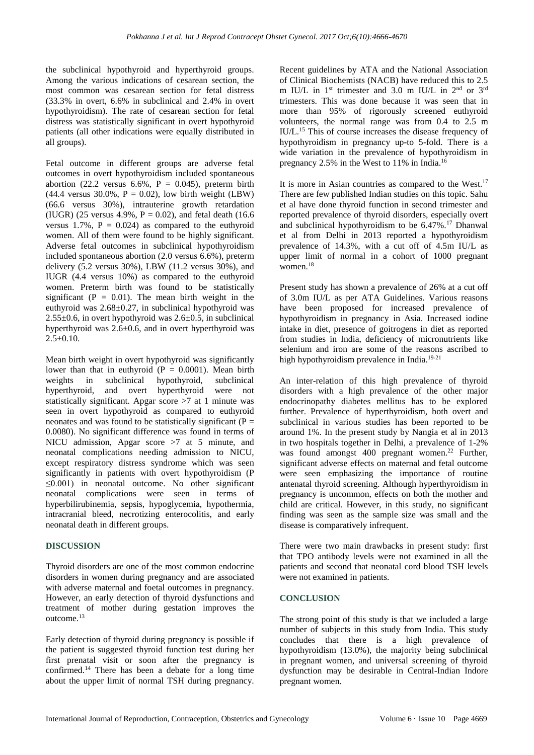the subclinical hypothyroid and hyperthyroid groups. Among the various indications of cesarean section, the most common was cesarean section for fetal distress (33.3% in overt, 6.6% in subclinical and 2.4% in overt hypothyroidism). The rate of cesarean section for fetal distress was statistically significant in overt hypothyroid patients (all other indications were equally distributed in all groups).

Fetal outcome in different groups are adverse fetal outcomes in overt hypothyroidism included spontaneous abortion (22.2 versus 6.6%,  $P = 0.045$ ), preterm birth  $(44.4 \text{ versus } 30.0\%$ ,  $P = 0.02$ ), low birth weight (LBW) (66.6 versus 30%), intrauterine growth retardation (IUGR) (25 versus 4.9%,  $P = 0.02$ ), and fetal death (16.6) versus 1.7%,  $P = 0.024$  as compared to the euthyroid women. All of them were found to be highly significant. Adverse fetal outcomes in subclinical hypothyroidism included spontaneous abortion (2.0 versus 6.6%), preterm delivery (5.2 versus 30%), LBW (11.2 versus 30%), and IUGR (4.4 versus 10%) as compared to the euthyroid women. Preterm birth was found to be statistically significant ( $P = 0.01$ ). The mean birth weight in the euthyroid was 2.68±0.27, in subclinical hypothyroid was  $2.55\pm0.6$ , in overt hypothyroid was  $2.6\pm0.5$ , in subclinical hyperthyroid was  $2.6 \pm 0.6$ , and in overt hyperthyroid was  $2.5 \pm 0.10$ .

Mean birth weight in overt hypothyroid was significantly lower than that in euthyroid  $(P = 0.0001)$ . Mean birth weights in subclinical hypothyroid, subclinical hyperthyroid, and overt hyperthyroid were not statistically significant. Apgar score >7 at 1 minute was seen in overt hypothyroid as compared to euthyroid neonates and was found to be statistically significant ( $P =$ 0.0080). No significant difference was found in terms of NICU admission, Apgar score >7 at 5 minute, and neonatal complications needing admission to NICU, except respiratory distress syndrome which was seen significantly in patients with overt hypothyroidism (P  $\leq 0.001$ ) in neonatal outcome. No other significant neonatal complications were seen in terms of hyperbilirubinemia, sepsis, hypoglycemia, hypothermia, intracranial bleed, necrotizing enterocolitis, and early neonatal death in different groups.

#### **DISCUSSION**

Thyroid disorders are one of the most common endocrine disorders in women during pregnancy and are associated with adverse maternal and foetal outcomes in pregnancy. However, an early detection of thyroid dysfunctions and treatment of mother during gestation improves the outcome.<sup>13</sup>

Early detection of thyroid during pregnancy is possible if the patient is suggested thyroid function test during her first prenatal visit or soon after the pregnancy is confirmed.<sup>14</sup> There has been a debate for a long time about the upper limit of normal TSH during pregnancy. Recent guidelines by ATA and the National Association of Clinical Biochemists (NACB) have reduced this to 2.5 m IU/L in 1<sup>st</sup> trimester and 3.0 m IU/L in 2<sup>nd</sup> or 3<sup>rd</sup> trimesters. This was done because it was seen that in more than 95% of rigorously screened euthyroid volunteers, the normal range was from 0.4 to 2.5 m IU/L.<sup>15</sup> This of course increases the disease frequency of hypothyroidism in pregnancy up-to 5-fold. There is a wide variation in the prevalence of hypothyroidism in pregnancy 2.5% in the West to 11% in India.<sup>16</sup>

It is more in Asian countries as compared to the West.<sup>17</sup> There are few published Indian studies on this topic. Sahu et al have done thyroid function in second trimester and reported prevalence of thyroid disorders, especially overt and subclinical hypothyroidism to be 6.47%.<sup>17</sup> Dhanwal et al from Delhi in 2013 reported a hypothyroidism prevalence of 14.3%, with a cut off of 4.5m IU/L as upper limit of normal in a cohort of 1000 pregnant women.<sup>18</sup>

Present study has shown a prevalence of 26% at a cut off of 3.0m IU/L as per ATA Guidelines. Various reasons have been proposed for increased prevalence of hypothyroidism in pregnancy in Asia. Increased iodine intake in diet, presence of goitrogens in diet as reported from studies in India, deficiency of micronutrients like selenium and iron are some of the reasons ascribed to high hypothyroidism prevalence in India.<sup>19-21</sup>

An inter-relation of this high prevalence of thyroid disorders with a high prevalence of the other major endocrinopathy diabetes mellitus has to be explored further. Prevalence of hyperthyroidism, both overt and subclinical in various studies has been reported to be around 1%. In the present study by Nangia et al in 2013 in two hospitals together in Delhi, a prevalence of 1-2% was found amongst 400 pregnant women.<sup>22</sup> Further, significant adverse effects on maternal and fetal outcome were seen emphasizing the importance of routine antenatal thyroid screening. Although hyperthyroidism in pregnancy is uncommon, effects on both the mother and child are critical. However, in this study, no significant finding was seen as the sample size was small and the disease is comparatively infrequent.

There were two main drawbacks in present study: first that TPO antibody levels were not examined in all the patients and second that neonatal cord blood TSH levels were not examined in patients.

#### **CONCLUSION**

The strong point of this study is that we included a large number of subjects in this study from India. This study concludes that there is a high prevalence of hypothyroidism (13.0%), the majority being subclinical in pregnant women, and universal screening of thyroid dysfunction may be desirable in Central-Indian Indore pregnant women.